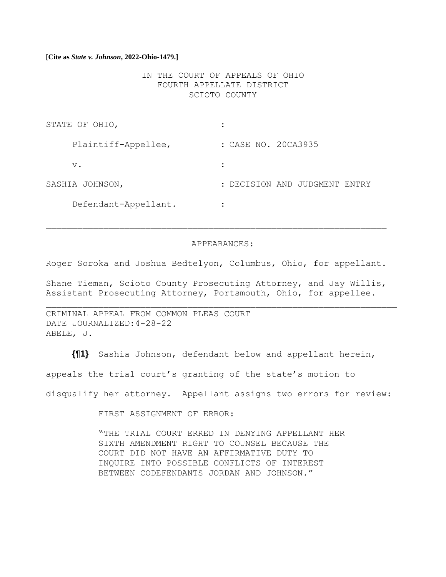IN THE COURT OF APPEALS OF OHIO FOURTH APPELLATE DISTRICT SCIOTO COUNTY

| STATE OF OHIO,       |                               |
|----------------------|-------------------------------|
| Plaintiff-Appellee,  | : CASE NO. 20CA3935           |
| $V$ .                |                               |
| SASHIA JOHNSON,      | : DECISION AND JUDGMENT ENTRY |
| Defendant-Appellant. | ٠                             |

#### APPEARANCES:

Roger Soroka and Joshua Bedtelyon, Columbus, Ohio, for appellant.

Shane Tieman, Scioto County Prosecuting Attorney, and Jay Willis, Assistant Prosecuting Attorney, Portsmouth, Ohio, for appellee.

CRIMINAL APPEAL FROM COMMON PLEAS COURT DATE JOURNALIZED:4-28-22 ABELE, J.

**{¶1}** Sashia Johnson, defendant below and appellant herein, appeals the trial court's granting of the state's motion to disqualify her attorney. Appellant assigns two errors for review:

FIRST ASSIGNMENT OF ERROR:

"THE TRIAL COURT ERRED IN DENYING APPELLANT HER SIXTH AMENDMENT RIGHT TO COUNSEL BECAUSE THE COURT DID NOT HAVE AN AFFIRMATIVE DUTY TO INQUIRE INTO POSSIBLE CONFLICTS OF INTEREST BETWEEN CODEFENDANTS JORDAN AND JOHNSON."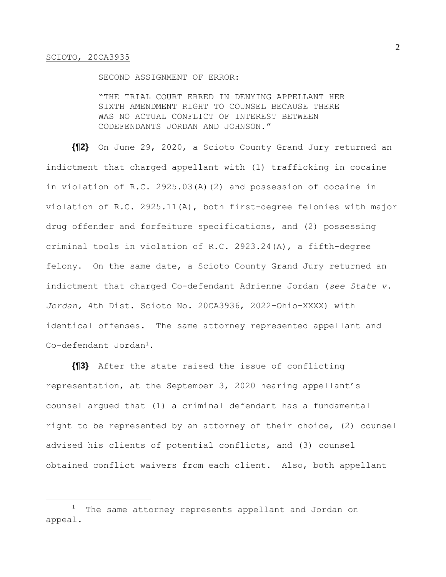SECOND ASSIGNMENT OF ERROR:

"THE TRIAL COURT ERRED IN DENYING APPELLANT HER SIXTH AMENDMENT RIGHT TO COUNSEL BECAUSE THERE WAS NO ACTUAL CONFLICT OF INTEREST BETWEEN CODEFENDANTS JORDAN AND JOHNSON."

**{¶2}** On June 29, 2020, a Scioto County Grand Jury returned an indictment that charged appellant with (1) trafficking in cocaine in violation of R.C. 2925.03(A)(2) and possession of cocaine in violation of R.C. 2925.11(A), both first-degree felonies with major drug offender and forfeiture specifications, and (2) possessing criminal tools in violation of R.C. 2923.24(A), a fifth-degree felony. On the same date, a Scioto County Grand Jury returned an indictment that charged Co-defendant Adrienne Jordan (*see State v. Jordan,* 4th Dist. Scioto No. 20CA3936, 2022-Ohio-XXXX) with identical offenses. The same attorney represented appellant and Co-defendant Jordan<sup>1</sup>.

**{¶3}** After the state raised the issue of conflicting representation, at the September 3, 2020 hearing appellant's counsel argued that (1) a criminal defendant has a fundamental right to be represented by an attorney of their choice, (2) counsel advised his clients of potential conflicts, and (3) counsel obtained conflict waivers from each client. Also, both appellant

<sup>&</sup>lt;sup>1</sup> The same attorney represents appellant and Jordan on appeal.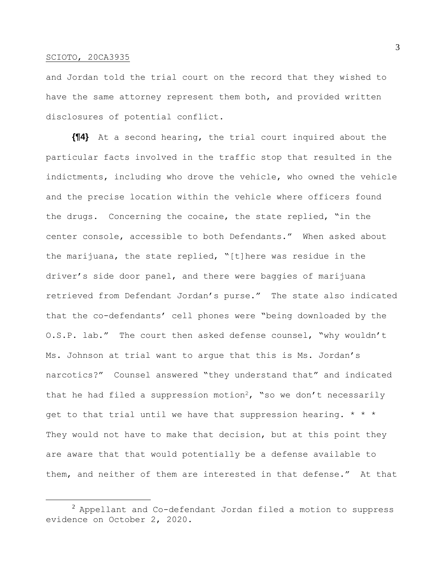and Jordan told the trial court on the record that they wished to have the same attorney represent them both, and provided written disclosures of potential conflict.

**{¶4}** At a second hearing, the trial court inquired about the particular facts involved in the traffic stop that resulted in the indictments, including who drove the vehicle, who owned the vehicle and the precise location within the vehicle where officers found the drugs. Concerning the cocaine, the state replied, "in the center console, accessible to both Defendants." When asked about the marijuana, the state replied, "[t]here was residue in the driver's side door panel, and there were baggies of marijuana retrieved from Defendant Jordan's purse." The state also indicated that the co-defendants' cell phones were "being downloaded by the O.S.P. lab." The court then asked defense counsel, "why wouldn't Ms. Johnson at trial want to argue that this is Ms. Jordan's narcotics?" Counsel answered "they understand that" and indicated that he had filed a suppression motion<sup>2</sup>, "so we don't necessarily get to that trial until we have that suppression hearing.  $* * *$ They would not have to make that decision, but at this point they are aware that that would potentially be a defense available to them, and neither of them are interested in that defense." At that

3

 $^2$  Appellant and Co-defendant Jordan filed a motion to suppress evidence on October 2, 2020.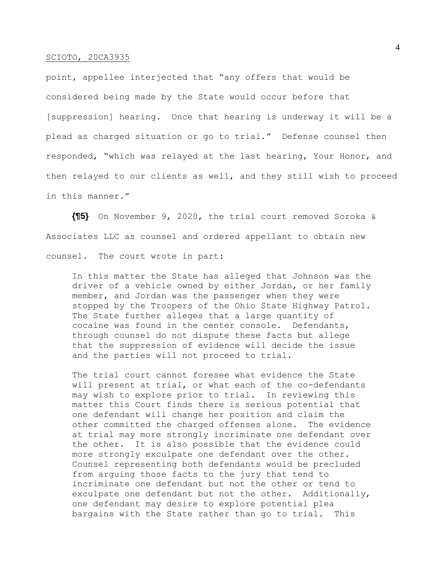point, appellee interjected that "any offers that would be considered being made by the State would occur before that [suppression] hearing. Once that hearing is underway it will be a plead as charged situation or go to trial." Defense counsel then responded, "which was relayed at the last hearing, Your Honor, and then relayed to our clients as well, and they still wish to proceed in this manner."

**{¶5}** On November 9, 2020, the trial court removed Soroka & Associates LLC as counsel and ordered appellant to obtain new counsel. The court wrote in part:

In this matter the State has alleged that Johnson was the driver of a vehicle owned by either Jordan, or her family member, and Jordan was the passenger when they were stopped by the Troopers of the Ohio State Highway Patrol. The State further alleges that a large quantity of cocaine was found in the center console. Defendants, through counsel do not dispute these facts but allege that the suppression of evidence will decide the issue and the parties will not proceed to trial.

The trial court cannot foresee what evidence the State will present at trial, or what each of the co-defendants may wish to explore prior to trial. In reviewing this matter this Court finds there is serious potential that one defendant will change her position and claim the other committed the charged offenses alone. The evidence at trial may more strongly incriminate one defendant over the other. It is also possible that the evidence could more strongly exculpate one defendant over the other. Counsel representing both defendants would be precluded from arguing those facts to the jury that tend to incriminate one defendant but not the other or tend to exculpate one defendant but not the other. Additionally, one defendant may desire to explore potential plea bargains with the State rather than go to trial. This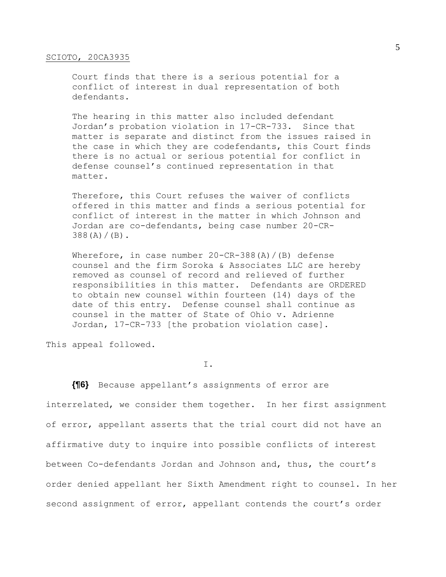Court finds that there is a serious potential for a conflict of interest in dual representation of both defendants.

The hearing in this matter also included defendant Jordan's probation violation in 17-CR-733. Since that matter is separate and distinct from the issues raised in the case in which they are codefendants, this Court finds there is no actual or serious potential for conflict in defense counsel's continued representation in that matter.

Therefore, this Court refuses the waiver of conflicts offered in this matter and finds a serious potential for conflict of interest in the matter in which Johnson and Jordan are co-defendants, being case number 20-CR- $388(A)/(B)$ .

Wherefore, in case number  $20$ -CR-388(A)/(B) defense counsel and the firm Soroka & Associates LLC are hereby removed as counsel of record and relieved of further responsibilities in this matter. Defendants are ORDERED to obtain new counsel within fourteen (14) days of the date of this entry. Defense counsel shall continue as counsel in the matter of State of Ohio v. Adrienne Jordan, 17-CR-733 [the probation violation case].

This appeal followed.

I.

**{¶6}** Because appellant's assignments of error are interrelated, we consider them together. In her first assignment of error, appellant asserts that the trial court did not have an affirmative duty to inquire into possible conflicts of interest between Co-defendants Jordan and Johnson and, thus, the court's order denied appellant her Sixth Amendment right to counsel. In her second assignment of error, appellant contends the court's order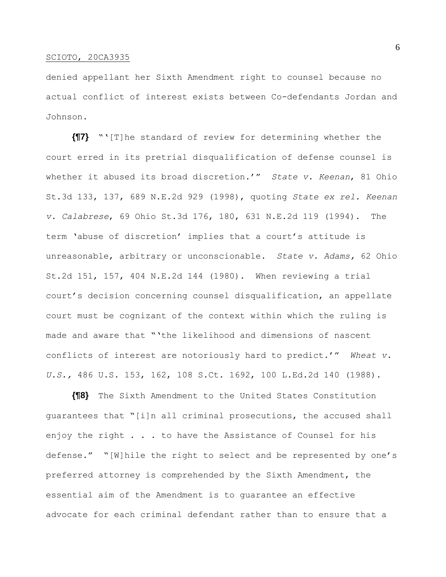denied appellant her Sixth Amendment right to counsel because no actual conflict of interest exists between Co-defendants Jordan and Johnson.

**{¶7}** "'[T]he standard of review for determining whether the court erred in its pretrial disqualification of defense counsel is whether it abused its broad discretion.'" *State v. Keenan*, 81 Ohio St.3d 133, 137, 689 N.E.2d 929 (1998), quoting *State ex rel. Keenan v. Calabrese*, 69 Ohio St.3d 176, 180, 631 N.E.2d 119 (1994). The term 'abuse of discretion' implies that a court's attitude is unreasonable, arbitrary or unconscionable. *State v. Adams,* 62 Ohio St.2d 151, 157, 404 N.E.2d 144 (1980). When reviewing a trial court's decision concerning counsel disqualification, an appellate court must be cognizant of the context within which the ruling is made and aware that "'the likelihood and dimensions of nascent conflicts of interest are notoriously hard to predict.'" *Wheat v. U.S.,* 486 U.S. 153, 162, 108 S.Ct. 1692, 100 L.Ed.2d 140 (1988).

**{¶8}** The Sixth Amendment to the United States Constitution guarantees that "[i]n all criminal prosecutions, the accused shall enjoy the right . . . to have the Assistance of Counsel for his defense." "[W]hile the right to select and be represented by one's preferred attorney is comprehended by the Sixth Amendment, the essential aim of the Amendment is to guarantee an effective advocate for each criminal defendant rather than to ensure that a

6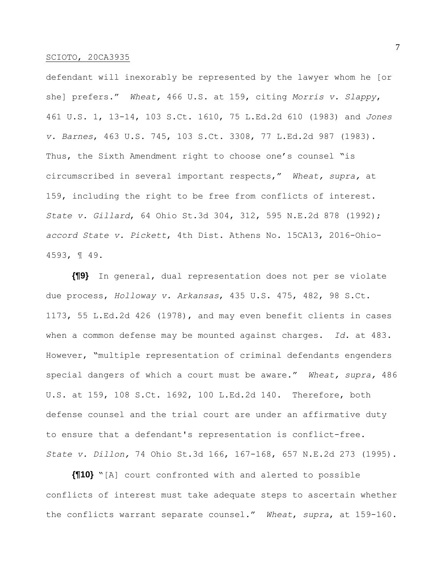defendant will inexorably be represented by the lawyer whom he [or she] prefers." *Wheat,* 466 U.S. at 159, citing *Morris v. Slappy*, 461 U.S. 1, 13-14, 103 S.Ct. 1610, 75 L.Ed.2d 610 (1983) and *Jones v. Barnes*, 463 U.S. 745, 103 S.Ct. 3308, 77 L.Ed.2d 987 (1983). Thus, the Sixth Amendment right to choose one's counsel "is circumscribed in several important respects," *Wheat, supra,* at 159, including the right to be free from conflicts of interest. *State v. Gillard*, 64 Ohio St.3d 304, 312, 595 N.E.2d 878 (1992); *accord State v. Pickett*, 4th Dist. Athens No. 15CA13, 2016-Ohio-4593, ¶ 49.

**{¶9}** In general, dual representation does not per se violate due process, *Holloway v. Arkansas*, 435 U.S. 475, 482, 98 S.Ct. 1173, 55 L.Ed.2d 426 (1978), and may even benefit clients in cases when a common defense may be mounted against charges. *Id.* at 483. However, "multiple representation of criminal defendants engenders special dangers of which a court must be aware." *Wheat, supra,* 486 U.S. at 159, 108 S.Ct. 1692, 100 L.Ed.2d 140. Therefore, both defense counsel and the trial court are under an affirmative duty to ensure that a defendant's representation is conflict-free. *State v. Dillon,* 74 Ohio St.3d 166, 167-168, 657 N.E.2d 273 (1995).

**{¶10}** "[A] court confronted with and alerted to possible conflicts of interest must take adequate steps to ascertain whether the conflicts warrant separate counsel." *Wheat*, *supra*, at 159-160.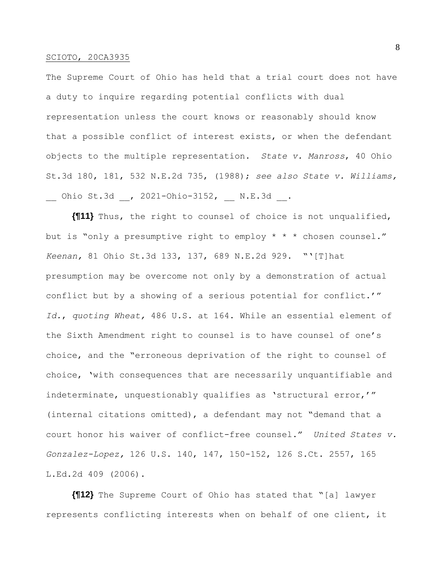The Supreme Court of Ohio has held that a trial court does not have a duty to inquire regarding potential conflicts with dual representation unless the court knows or reasonably should know that a possible conflict of interest exists, or when the defendant objects to the multiple representation. *State v. Manross*, 40 Ohio St.3d 180, 181, 532 N.E.2d 735, (1988); *see also State v. Williams,* Ohio St.3d , 2021-Ohio-3152, \_\_ N.E.3d \_\_.

**{¶11}** Thus, the right to counsel of choice is not unqualified, but is "only a presumptive right to employ \* \* \* chosen counsel." *Keenan,* 81 Ohio St.3d 133, 137, 689 N.E.2d 929. "'[T]hat presumption may be overcome not only by a demonstration of actual conflict but by a showing of a serious potential for conflict.'" *Id.*, *quoting Wheat,* 486 U.S. at 164. While an essential element of the Sixth Amendment right to counsel is to have counsel of one's choice, and the "erroneous deprivation of the right to counsel of choice, 'with consequences that are necessarily unquantifiable and indeterminate, unquestionably qualifies as 'structural error,'" (internal citations omitted), a defendant may not "demand that a court honor his waiver of conflict-free counsel." *United States v. Gonzalez-Lopez,* 126 U.S. 140, 147, 150-152, 126 S.Ct. 2557, 165 L.Ed.2d 409 (2006).

**{¶12}** The Supreme Court of Ohio has stated that "[a] lawyer represents conflicting interests when on behalf of one client, it 8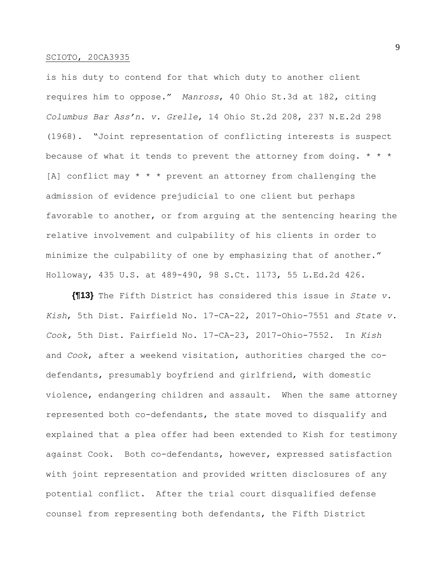is his duty to contend for that which duty to another client requires him to oppose." *Manross*, 40 Ohio St.3d at 182, citing *Columbus Bar Ass'n. v. Grelle*, 14 Ohio St.2d 208, 237 N.E.2d 298 (1968). "Joint representation of conflicting interests is suspect because of what it tends to prevent the attorney from doing. \* \* \* [A] conflict may  $* * *$  prevent an attorney from challenging the admission of evidence prejudicial to one client but perhaps favorable to another, or from arguing at the sentencing hearing the relative involvement and culpability of his clients in order to minimize the culpability of one by emphasizing that of another." Holloway, 435 U.S. at 489-490, 98 S.Ct. 1173, 55 L.Ed.2d 426.

**{¶13}** The Fifth District has considered this issue in *State v. Kish*, 5th Dist. Fairfield No. 17-CA-22, 2017-Ohio-7551 and *State v. Cook,* 5th Dist. Fairfield No. 17-CA-23, 2017-Ohio-7552. In *Kish*  and *Cook*, after a weekend visitation, authorities charged the codefendants, presumably boyfriend and girlfriend, with domestic violence, endangering children and assault. When the same attorney represented both co-defendants, the state moved to disqualify and explained that a plea offer had been extended to Kish for testimony against Cook. Both co-defendants, however, expressed satisfaction with joint representation and provided written disclosures of any potential conflict. After the trial court disqualified defense counsel from representing both defendants, the Fifth District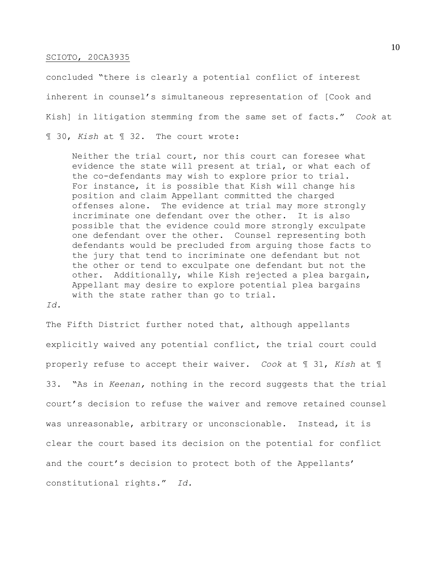concluded "there is clearly a potential conflict of interest inherent in counsel's simultaneous representation of [Cook and Kish] in litigation stemming from the same set of facts." *Cook* at ¶ 30, *Kish* at ¶ 32. The court wrote:

Neither the trial court, nor this court can foresee what evidence the state will present at trial, or what each of the co-defendants may wish to explore prior to trial. For instance, it is possible that Kish will change his position and claim Appellant committed the charged offenses alone. The evidence at trial may more strongly incriminate one defendant over the other. It is also possible that the evidence could more strongly exculpate one defendant over the other. Counsel representing both defendants would be precluded from arguing those facts to the jury that tend to incriminate one defendant but not the other or tend to exculpate one defendant but not the other. Additionally, while Kish rejected a plea bargain, Appellant may desire to explore potential plea bargains with the state rather than go to trial.

*Id.*

The Fifth District further noted that, although appellants explicitly waived any potential conflict, the trial court could properly refuse to accept their waiver. *Cook* at ¶ 31, *Kish* at ¶ 33. "As in *Keenan,* nothing in the record suggests that the trial court's decision to refuse the waiver and remove retained counsel was unreasonable, arbitrary or unconscionable. Instead, it is clear the court based its decision on the potential for conflict and the court's decision to protect both of the Appellants' constitutional rights." *Id.*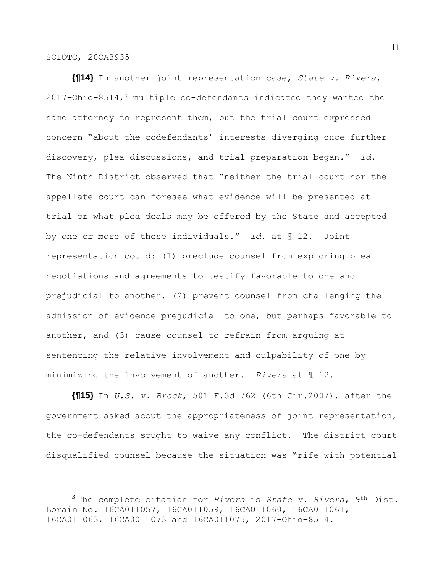**{¶14}** In another joint representation case, *State v. Rivera*,  $2017$ -Ohio-8514,<sup>3</sup> multiple co-defendants indicated they wanted the same attorney to represent them, but the trial court expressed concern "about the codefendants' interests diverging once further discovery, plea discussions, and trial preparation began." *Id.* The Ninth District observed that "neither the trial court nor the appellate court can foresee what evidence will be presented at trial or what plea deals may be offered by the State and accepted by one or more of these individuals." *Id.* at ¶ 12. Joint representation could: (1) preclude counsel from exploring plea negotiations and agreements to testify favorable to one and prejudicial to another, (2) prevent counsel from challenging the admission of evidence prejudicial to one, but perhaps favorable to another, and (3) cause counsel to refrain from arguing at sentencing the relative involvement and culpability of one by minimizing the involvement of another. *Rivera* at ¶ 12.

**{¶15}** In *U.S. v. Brock*, 501 F.3d 762 (6th Cir.2007), after the government asked about the appropriateness of joint representation, the co-defendants sought to waive any conflict. The district court disqualified counsel because the situation was "rife with potential

<sup>3</sup> The complete citation for *Rivera* is *State v. Rivera*, 9th Dist. Lorain No. 16CA011057, 16CA011059, 16CA011060, 16CA011061, 16CA011063, 16CA0011073 and 16CA011075, 2017-Ohio-8514.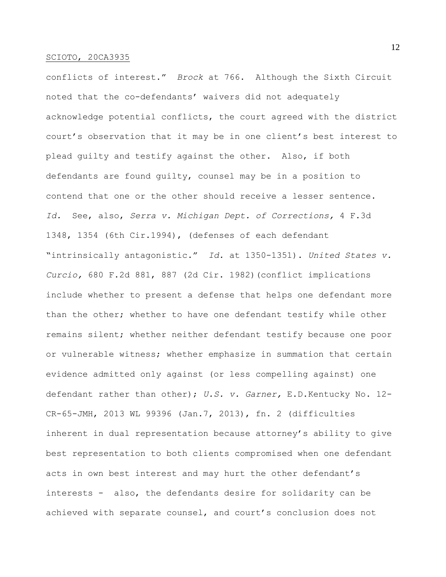conflicts of interest." *Brock* at 766. Although the Sixth Circuit noted that the co-defendants' waivers did not adequately acknowledge potential conflicts, the court agreed with the district court's observation that it may be in one client's best interest to plead guilty and testify against the other. Also, if both defendants are found guilty, counsel may be in a position to contend that one or the other should receive a lesser sentence. *Id.* See, also, *Serra v. Michigan Dept. of Corrections,* 4 F.3d 1348, 1354 (6th Cir.1994), (defenses of each defendant "intrinsically antagonistic." *Id.* at 1350-1351). *United States v. Curcio,* 680 F.2d 881, 887 (2d Cir. 1982)(conflict implications include whether to present a defense that helps one defendant more than the other; whether to have one defendant testify while other remains silent; whether neither defendant testify because one poor or vulnerable witness; whether emphasize in summation that certain evidence admitted only against (or less compelling against) one defendant rather than other); *U.S. v. Garner,* E.D.Kentucky No. 12- CR-65-JMH, 2013 WL 99396 (Jan.7, 2013), fn. 2 (difficulties inherent in dual representation because attorney's ability to give best representation to both clients compromised when one defendant acts in own best interest and may hurt the other defendant's interests - also, the defendants desire for solidarity can be achieved with separate counsel, and court's conclusion does not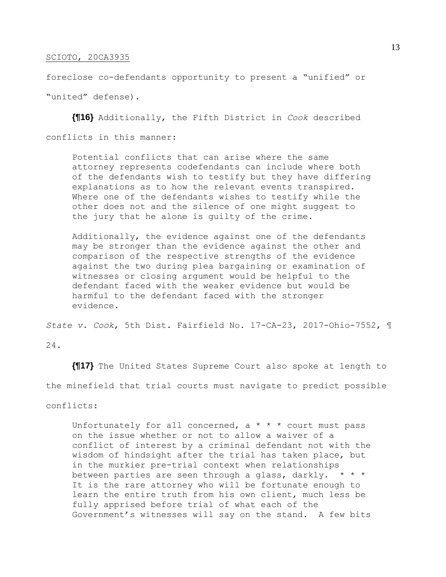foreclose co-defendants opportunity to present a "unified" or

"united" defense).

**{¶16}** Additionally, the Fifth District in *Cook* described conflicts in this manner:

Potential conflicts that can arise where the same attorney represents codefendants can include where both of the defendants wish to testify but they have differing explanations as to how the relevant events transpired. Where one of the defendants wishes to testify while the other does not and the silence of one might suggest to the jury that he alone is guilty of the crime.

Additionally, the evidence against one of the defendants may be stronger than the evidence against the other and comparison of the respective strengths of the evidence against the two during plea bargaining or examination of witnesses or closing argument would be helpful to the defendant faced with the weaker evidence but would be harmful to the defendant faced with the stronger evidence.

*State v. Cook*, 5th Dist. Fairfield No. 17-CA-23, 2017-Ohio-7552, ¶

24.

**{¶17}** The United States Supreme Court also spoke at length to the minefield that trial courts must navigate to predict possible

conflicts:

Unfortunately for all concerned,  $a * * *$  court must pass on the issue whether or not to allow a waiver of a conflict of interest by a criminal defendant not with the wisdom of hindsight after the trial has taken place, but in the murkier pre-trial context when relationships between parties are seen through a glass, darkly. \* \* \* It is the rare attorney who will be fortunate enough to learn the entire truth from his own client, much less be fully apprised before trial of what each of the Government's witnesses will say on the stand. A few bits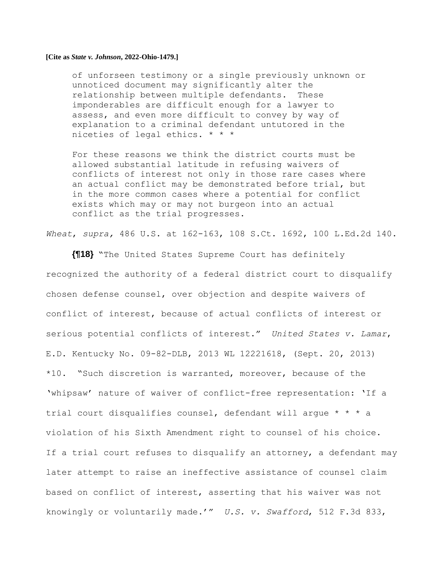of unforseen testimony or a single previously unknown or unnoticed document may significantly alter the relationship between multiple defendants. These imponderables are difficult enough for a lawyer to assess, and even more difficult to convey by way of explanation to a criminal defendant untutored in the niceties of legal ethics. \* \* \*

For these reasons we think the district courts must be allowed substantial latitude in refusing waivers of conflicts of interest not only in those rare cases where an actual conflict may be demonstrated before trial, but in the more common cases where a potential for conflict exists which may or may not burgeon into an actual conflict as the trial progresses.

*Wheat*, *supra,* 486 U.S. at 162-163, 108 S.Ct. 1692, 100 L.Ed.2d 140.

**{¶18}** "The United States Supreme Court has definitely recognized the authority of a federal district court to disqualify chosen defense counsel, over objection and despite waivers of conflict of interest, because of actual conflicts of interest or serious potential conflicts of interest." *United States v. Lamar*, E.D. Kentucky No. 09-82-DLB, 2013 WL 12221618, (Sept. 20, 2013) \*10. "Such discretion is warranted, moreover, because of the 'whipsaw' nature of waiver of conflict-free representation: 'If a trial court disqualifies counsel, defendant will argue \* \* \* a violation of his Sixth Amendment right to counsel of his choice. If a trial court refuses to disqualify an attorney, a defendant may later attempt to raise an ineffective assistance of counsel claim based on conflict of interest, asserting that his waiver was not knowingly or voluntarily made.'" *U.S. v. Swafford*, 512 F.3d 833,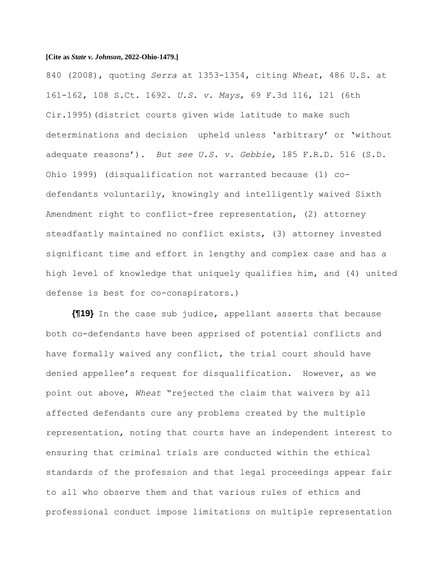840 (2008), quoting *Serra* at 1353-1354, citing *Wheat*, 486 U.S. at 161-162, 108 S.Ct. 1692. *U.S. v. Mays*, 69 F.3d 116, 121 (6th Cir.1995)(district courts given wide latitude to make such determinations and decision upheld unless 'arbitrary' or 'without adequate reasons'). *But see U.S. v. Gebbie*, 185 F.R.D. 516 (S.D. Ohio 1999) (disqualification not warranted because (1) codefendants voluntarily, knowingly and intelligently waived Sixth Amendment right to conflict-free representation, (2) attorney steadfastly maintained no conflict exists, (3) attorney invested significant time and effort in lengthy and complex case and has a high level of knowledge that uniquely qualifies him, and (4) united defense is best for co-conspirators.)

**{¶19}** In the case sub judice, appellant asserts that because both co-defendants have been apprised of potential conflicts and have formally waived any conflict, the trial court should have denied appellee's request for disqualification. However, as we point out above, *Wheat* "rejected the claim that waivers by all affected defendants cure any problems created by the multiple representation, noting that courts have an independent interest to ensuring that criminal trials are conducted within the ethical standards of the profession and that legal proceedings appear fair to all who observe them and that various rules of ethics and professional conduct impose limitations on multiple representation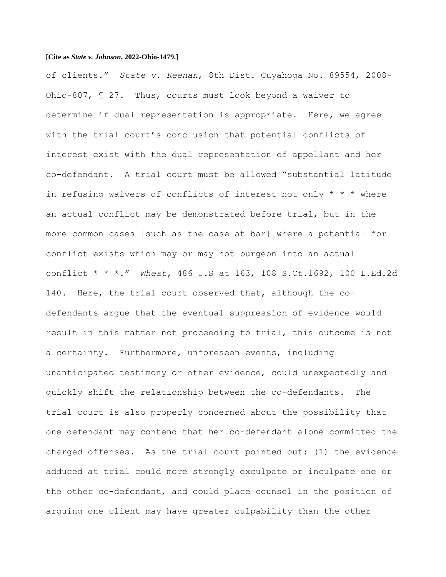of clients." *State v. Keenan*, 8th Dist. Cuyahoga No. 89554, 2008- Ohio-807, ¶ 27. Thus, courts must look beyond a waiver to determine if dual representation is appropriate. Here, we agree with the trial court's conclusion that potential conflicts of interest exist with the dual representation of appellant and her co-defendant. A trial court must be allowed "substantial latitude in refusing waivers of conflicts of interest not only  $* * *$  where an actual conflict may be demonstrated before trial, but in the more common cases [such as the case at bar] where a potential for conflict exists which may or may not burgeon into an actual conflict \* \* \*." *Wheat,* 486 U.S at 163, 108 S.Ct.1692, 100 L.Ed.2d 140. Here, the trial court observed that, although the codefendants argue that the eventual suppression of evidence would result in this matter not proceeding to trial, this outcome is not a certainty. Furthermore, unforeseen events, including unanticipated testimony or other evidence, could unexpectedly and quickly shift the relationship between the co-defendants. The trial court is also properly concerned about the possibility that one defendant may contend that her co-defendant alone committed the charged offenses. As the trial court pointed out: (1) the evidence adduced at trial could more strongly exculpate or inculpate one or the other co-defendant, and could place counsel in the position of arguing one client may have greater culpability than the other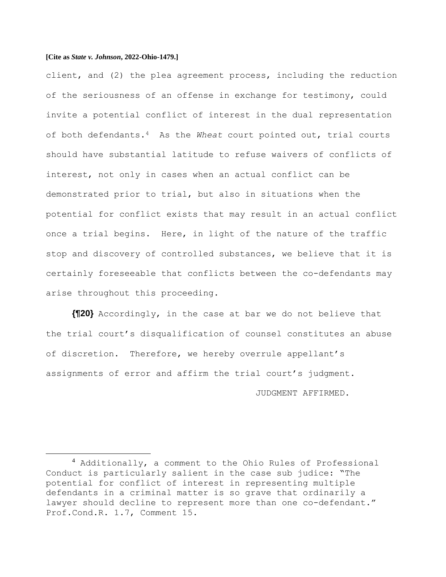client, and (2) the plea agreement process, including the reduction of the seriousness of an offense in exchange for testimony, could invite a potential conflict of interest in the dual representation of both defendants.4 As the *Wheat* court pointed out, trial courts should have substantial latitude to refuse waivers of conflicts of interest, not only in cases when an actual conflict can be demonstrated prior to trial, but also in situations when the potential for conflict exists that may result in an actual conflict once a trial begins. Here, in light of the nature of the traffic stop and discovery of controlled substances, we believe that it is certainly foreseeable that conflicts between the co-defendants may arise throughout this proceeding.

**{¶20}** Accordingly, in the case at bar we do not believe that the trial court's disqualification of counsel constitutes an abuse of discretion. Therefore, we hereby overrule appellant's assignments of error and affirm the trial court's judgment.

JUDGMENT AFFIRMED.

<sup>4</sup> Additionally, a comment to the Ohio Rules of Professional Conduct is particularly salient in the case sub judice: "The potential for conflict of interest in representing multiple defendants in a criminal matter is so grave that ordinarily a lawyer should decline to represent more than one co-defendant." Prof.Cond.R. 1.7, Comment 15.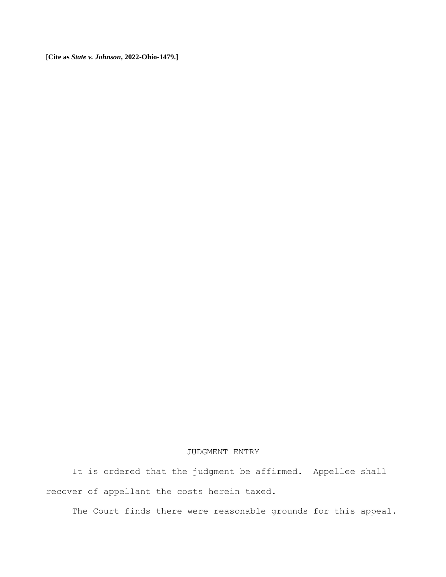## JUDGMENT ENTRY

It is ordered that the judgment be affirmed. Appellee shall recover of appellant the costs herein taxed.

The Court finds there were reasonable grounds for this appeal.